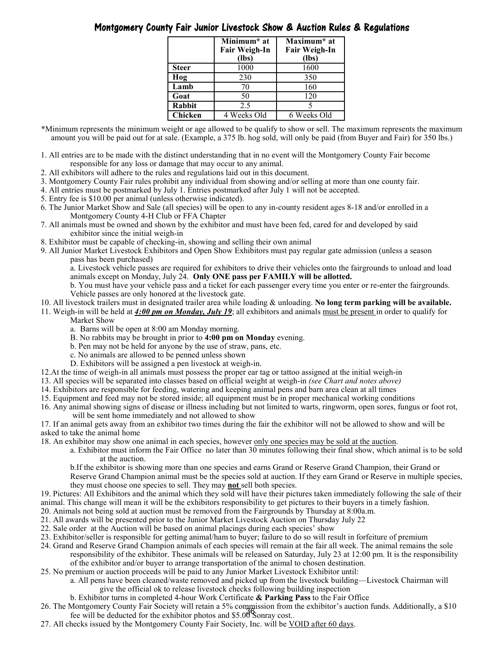#### Montgomery County Fair Junior Livestock Show & Auction Rules & Regulations

|               | Minimum <sup>*</sup> at<br>Fair Weigh-In<br>(lbs) | Maximum* at<br>Fair Weigh-In<br>(lbs) |
|---------------|---------------------------------------------------|---------------------------------------|
| <b>Steer</b>  | 1000                                              | 1600                                  |
| Hog           | 230                                               | 350                                   |
| Lamb          | 70                                                | 160                                   |
| Goat          | 50                                                | 120                                   |
| <b>Rabbit</b> | 2.5                                               |                                       |
| Chicken       | 4 Weeks Old                                       | 6 Weeks Old                           |

\*Minimum represents the minimum weight or age allowed to be qualify to show or sell. The maximum represents the maximum amount you will be paid out for at sale. (Example, a 375 lb. hog sold, will only be paid (from Buyer and Fair) for 350 lbs.)

- 1. All entries are to be made with the distinct understanding that in no event will the Montgomery County Fair become responsible for any loss or damage that may occur to any animal.
- 2. All exhibitors will adhere to the rules and regulations laid out in this document.
- 3. Montgomery County Fair rules prohibit any individual from showing and/or selling at more than one county fair.
- 4. All entries must be postmarked by July 1. Entries postmarked after July 1 will not be accepted.
- 5. Entry fee is \$10.00 per animal (unless otherwise indicated).
- 6. The Junior Market Show and Sale (all species) will be open to any in-county resident ages 8-18 and/or enrolled in a Montgomery County 4-H Club or FFA Chapter
- 7. All animals must be owned and shown by the exhibitor and must have been fed, cared for and developed by said exhibitor since the initial weigh-in
- 8. Exhibitor must be capable of checking-in, showing and selling their own animal

9. All Junior Market Livestock Exhibitors and Open Show Exhibitors must pay regular gate admission (unless a season pass has been purchased)

a. Livestock vehicle passes are required for exhibitors to drive their vehicles onto the fairgrounds to unload and load animals except on Monday, July 24. Only ONE pass per FAMILY will be allotted.

b. You must have your vehicle pass and a ticket for each passenger every time you enter or re-enter the fairgrounds. Vehicle passes are only honored at the livestock gate.

- 10. All livestock trailers must in designated trailer area while loading & unloading. No long term parking will be available.
- 11. Weigh-in will be held at  $\frac{4:00 \text{ pm}}{2}$  on Monday, July 19; all exhibitors and animals must be present in order to qualify for Market Show
	- a. Barns will be open at 8:00 am Monday morning.
	- B. No rabbits may be brought in prior to 4:00 pm on Monday evening.
	- b. Pen may not be held for anyone by the use of straw, pans, etc.
	- c. No animals are allowed to be penned unless shown
	- D. Exhibitors will be assigned a pen livestock at weigh-in.
- 12. At the time of weigh-in all animals must possess the proper ear tag or tattoo assigned at the initial weigh-in
- 13. All species will be separated into classes based on official weight at weigh-in (see Chart and notes above)
- 14. Exhibitors are responsible for feeding, watering and keeping animal pens and barn area clean at all times
- 15. Equipment and feed may not be stored inside; all equipment must be in proper mechanical working conditions
- 16. Any animal showing signs of disease or illness including but not limited to warts, ringworm, open sores, fungus or foot rot, will be sent home immediately and not allowed to show

17. If an animal gets away from an exhibitor two times during the fair the exhibitor will not be allowed to show and will be asked to take the animal home

18. An exhibitor may show one animal in each species, however only one species may be sold at the auction.

a. Exhibitor must inform the Fair Office no later than 30 minutes following their final show, which animal is to be sold at the auction.

b. If the exhibitor is showing more than one species and earns Grand or Reserve Grand Champion, their Grand or

Reserve Grand Champion animal must be the species sold at auction. If they earn Grand or Reserve in multiple species, they must choose one species to sell. They may not sell both species.

- 19. Pictures: All Exhibitors and the animal which they sold will have their pictures taken immediately following the sale of their animal. This change will mean it will be the exhibitors responsibility to get pictures to their buyers in a timely fashion.
- 20. Animals not being sold at auction must be removed from the Fairgrounds by Thursday at 8:00a.m.
- 21. All awards will be presented prior to the Junior Market Livestock Auction on Thursday July 22
- 22. Sale order at the Auction will be based on animal placings during each species' show
- 23. Exhibitor/seller is responsible for getting animal/ham to buyer; failure to do so will result in forfeiture of premium
- 24. Grand and Reserve Grand Champion animals of each species will remain at the fair all week. The animal remains the sole responsibility of the exhibitor. These animals will be released on Saturday, July 23 at 12:00 pm. It is the responsibility of the exhibitor and/or buyer to arrange transportation of the animal to chosen destination.
- 25. No premium or auction proceeds will be paid to any Junior Market Livestock Exhibitor until:

a. All pens have been cleaned/waste removed and picked up from the livestock building—Livestock Chairman will give the official ok to release livestock checks following building inspection

- b. Exhibitor turns in completed 4-hour Work Certificate & Parking Pass to the Fair Office
- 26. The Montgomery County Fair Society will retain a 5% commission from the exhibitor's auction funds. Additionally, a \$10 fee will be deducted for the exhibitor photos and \$5.00 Sonray cost.
- 27. All checks issued by the Montgomery County Fair Society, Inc. will be VOID after 60 days.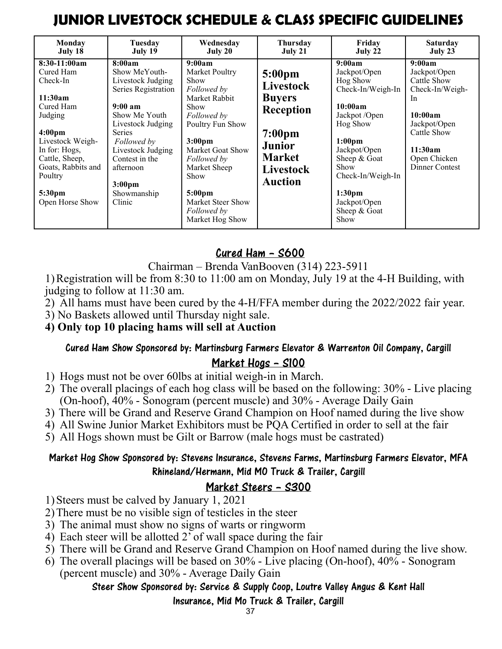# JUNIOR LIVESTOCK SCHEDULE & CLASS SPECIFIC GUIDELINES

| Monday                                                                                                                                                                                                              | Tuesday                                                                                                                                                                                                                                                           | Wednesday                                                                                                                                                                                                                                                                 | Thursday                                                                                                                                                         | Friday                                                                                                                                                                                                                                           | Saturday                                                                                                                                              |
|---------------------------------------------------------------------------------------------------------------------------------------------------------------------------------------------------------------------|-------------------------------------------------------------------------------------------------------------------------------------------------------------------------------------------------------------------------------------------------------------------|---------------------------------------------------------------------------------------------------------------------------------------------------------------------------------------------------------------------------------------------------------------------------|------------------------------------------------------------------------------------------------------------------------------------------------------------------|--------------------------------------------------------------------------------------------------------------------------------------------------------------------------------------------------------------------------------------------------|-------------------------------------------------------------------------------------------------------------------------------------------------------|
| July 18                                                                                                                                                                                                             | July 19                                                                                                                                                                                                                                                           | July 20                                                                                                                                                                                                                                                                   | July 21                                                                                                                                                          | July 22                                                                                                                                                                                                                                          | July 23                                                                                                                                               |
| 8:30-11:00am<br>Cured Ham<br>Check-In<br>11:30am<br>Cured Ham<br>Judging<br>4:00 <sub>pm</sub><br>Livestock Weigh-<br>In for: Hogs,<br>Cattle, Sheep,<br>Goats, Rabbits and<br>Poultry<br>5:30pm<br>Open Horse Show | 8:00am<br>Show MeYouth-<br>Livestock Judging<br>Series Registration<br>$9:00 \text{ am}$<br>Show Me Youth<br>Livestock Judging<br><b>Series</b><br>Followed by<br>Livestock Judging<br>Contest in the<br>afternoon<br>3:00 <sub>pm</sub><br>Showmanship<br>Clinic | 9:00am<br>Market Poultry<br>Show<br>Followed by<br>Market Rabbit<br>Show<br>Followed by<br>Poultry Fun Show<br>3:00 <sub>pm</sub><br>Market Goat Show<br>Followed by<br>Market Sheep<br>Show<br>5:00 <sub>pm</sub><br>Market Steer Show<br>Followed by<br>Market Hog Show | $5:00 \text{pm}$<br><b>Livestock</b><br><b>Buyers</b><br><b>Reception</b><br>7:00 <sub>pm</sub><br>Junior<br><b>Market</b><br><b>Livestock</b><br><b>Auction</b> | 9:00am<br>Jackpot/Open<br>Hog Show<br>Check-In/Weigh-In<br>10:00am<br>Jackpot /Open<br>Hog Show<br>1:00 <sub>pm</sub><br>Jackpot/Open<br>Sheep & Goat<br>Show<br>Check-In/Weigh-In<br>1:30 <sub>pm</sub><br>Jackpot/Open<br>Sheep & Goat<br>Show | 9:00am<br>Jackpot/Open<br>Cattle Show<br>Check-In/Weigh-<br>In<br>10:00am<br>Jackpot/Open<br>Cattle Show<br>11:30am<br>Open Chicken<br>Dinner Contest |

## Cured Ham – S600

#### $Chairman - Bernda VanBooven (314) 223-5911$

1) Registration will be from 8:30 to 11:00 am on Monday, July 19 at the 4-H Building, with judging to follow at  $11:30$  am.

- 2) All hams must have been cured by the 4-H/FFA member during the 2022/2022 fair year.
- 3) No Baskets allowed until Thursday night sale.

#### 4) Only top 10 placing hams will sell at Auction

## Cured Ham Show Sponsored by: Martinsburg Farmers Elevator & Warrenton Oil Company, Cargill

#### Market Hogs – S100

- 1) Hogs must not be over 60lbs at initial weigh-in in March.
- 2) The overall placings of each hog class will be based on the following:  $30\%$  Live placing (On-hoof),  $40\%$  - Sonogram (percent muscle) and  $30\%$  - Average Daily Gain
- 3) There will be Grand and Reserve Grand Champion on Hoof named during the live show
- 4) All Swine Junior Market Exhibitors must be PQA Certified in order to sell at the fair
- 5) All Hogs shown must be Gilt or Barrow (male hogs must be castrated)

#### Market Hog Show Sponsored by: Stevens Insurance, Stevens Farms, Martinsburg Farmers Elevator, MFA Rhineland/Hermann, Mid MO Truck & Trailer, Cargill

## Market Steers – S300

- 1) Steers must be calved by January 1, 2021
- 2) There must be no visible sign of testicles in the steer
- 3) The animal must show no signs of warts or ringworm
- 4) Each steer will be allotted 2' of wall space during the fair
- 5) There will be Grand and Reserve Grand Champion on Hoof named during the live show.
- 6) The overall placings will be based on  $30\%$  Live placing (On-hoof),  $40\%$  Sonogram (percent muscle) and 30% - Average Daily Gain

#### Steer Show Sponsored by: Service & Supply Coop, Loutre Valley Angus & Kent Hall

#### Insurance, Mid Mo Truck & Trailer, Cargill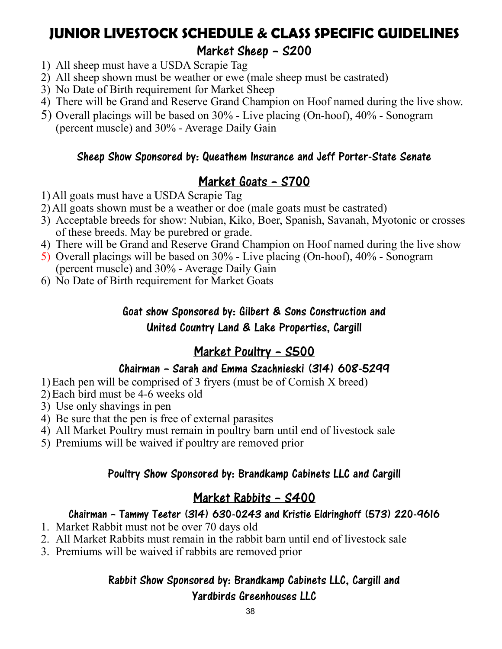# JUNIOR LIVESTOCK SCHEDULE & CLASS SPECIFIC GUIDELINES

## Market Sheep – S200

- 1) All sheep must have a USDA Scrapie Tag
- 2) All sheep shown must be weather or ewe (male sheep must be castrated)
- 3) No Date of Birth requirement for Market Sheep
- 4) There will be Grand and Reserve Grand Champion on Hoof named during the live show.
- 5) Overall placings will be based on  $30\%$  Live placing (On-hoof),  $40\%$  Sonogram (percent muscle) and  $30\%$  - Average Daily Gain

#### Sheep Show Sponsored by: Queathem Insurance and Jeff Porter-State Senate

## Market Goats – S700

- 1) All goats must have a USDA Scrapie Tag
- 2) All goats shown must be a weather or doe (male goats must be castrated)
- 3) Acceptable breeds for show: Nubian, Kiko, Boer, Spanish, Savanah, Myotonic or crosses of these breeds. May be purebred or grade.
- 4) There will be Grand and Reserve Grand Champion on Hoof named during the live show
- 5) Overall placings will be based on  $30\%$  Live placing (On-hoof),  $40\%$  Sonogram (percent muscle) and  $30\%$  - Average Daily Gain
- 6) No Date of Birth requirement for Market Goats

## Goat show Sponsored by: Gilbert & Sons Construction and United Country Land & Lake Properties, Cargill

## Market Poultry – S500

## Chairman – Sarah and Emma Szachnieski (314) 608-5299

- 1) Each pen will be comprised of 3 fryers (must be of Cornish X breed)
- $(2)$  Each bird must be 4-6 weeks old
- 3) Use only shavings in pen
- 4) Be sure that the pen is free of external parasites
- 4) All Market Poultry must remain in poultry barn until end of livestock sale
- 5) Premiums will be waived if poultry are removed prior

## Poultry Show Sponsored by: Brandkamp Cabinets LLC and Cargill

## Market Rabbits – S400

## Chairman – Tammy Teeter (314) 630-0243 and Kristie Eldringhoff (573) 220-9616

- 1. Market Rabbit must not be over 70 days old
- 2. All Market Rabbits must remain in the rabbit barn until end of livestock sale
- 3. Premiums will be waived if rabbits are removed prior

#### Rabbit Show Sponsored by: Brandkamp Cabinets LLC, Cargill and Yardbirds Greenhouses LLC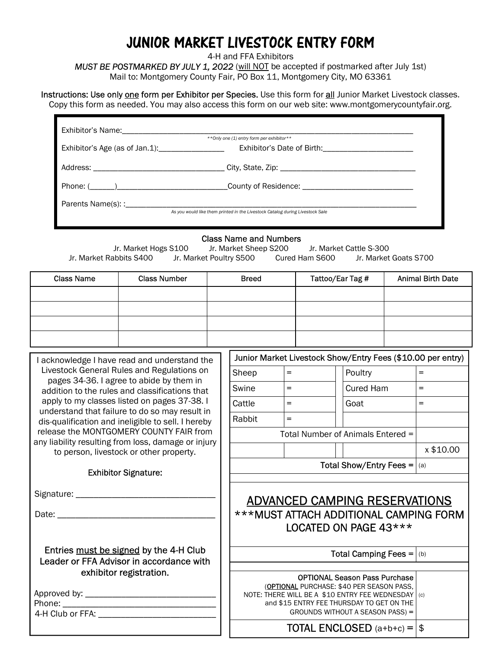# JUNIOR MARKET LIVESTOCK ENTRY FORM

4-H and FFA Exhibitors

MUST BE POSTMARKED BY JULY 1, 2022 (will NOT be accepted if postmarked after July 1st)

Mail to: Montgomery County Fair, PO Box 11, Montgomery City, MO 63361

Instructions: Use only one form per Exhibitor per Species. Use this form for all Junior Market Livestock classes. Copy this form as needed. You may also access this form on our web site: www.montgomerycountyfair.org.

|                                                   | ** Only one (1) entry form per exhibitor**               |  |
|---------------------------------------------------|----------------------------------------------------------|--|
| Exhibitor's Age (as of Jan.1): __________________ |                                                          |  |
|                                                   |                                                          |  |
|                                                   | _County of Residence: __________________________________ |  |
|                                                   |                                                          |  |

#### Class Name and Numbers

| Jr. Market Hogs S100    | Jr. Market Sheep S200   |                | Jr. Market Cattle S-300 |  |
|-------------------------|-------------------------|----------------|-------------------------|--|
| Jr. Market Rabbits S400 | Jr. Market Poultry S500 | Cured Ham S600 | Jr. Market Goats S700   |  |

| <b>Class Name</b> | <b>Class Number</b> | <b>Breed</b> | Tattoo/Ear Tag # | <b>Animal Birth Date</b> |
|-------------------|---------------------|--------------|------------------|--------------------------|
|                   |                     |              |                  |                          |
|                   |                     |              |                  |                          |
|                   |                     |              |                  |                          |
|                   |                     |              |                  |                          |

| Junior Market Livestock Show/Entry Fees (\$10.00 per entry)<br>I acknowledge I have read and understand the |                                         |     |  |                                                                                                 |           |  |
|-------------------------------------------------------------------------------------------------------------|-----------------------------------------|-----|--|-------------------------------------------------------------------------------------------------|-----------|--|
| Livestock General Rules and Regulations on<br>pages 34-36. I agree to abide by them in                      | Sheep                                   | $=$ |  | Poultry                                                                                         | $=$       |  |
| addition to the rules and classifications that                                                              | Swine                                   | $=$ |  | Cured Ham                                                                                       | $=$       |  |
| apply to my classes listed on pages 37-38. I<br>understand that failure to do so may result in              | Cattle                                  | $=$ |  | Goat                                                                                            | $=$       |  |
| dis-qualification and ineligible to sell. I hereby                                                          | Rabbit                                  | $=$ |  |                                                                                                 |           |  |
| release the MONTGOMERY COUNTY FAIR from<br>any liability resulting from loss, damage or injury              | Total Number of Animals Entered =       |     |  |                                                                                                 |           |  |
| to person, livestock or other property.                                                                     |                                         |     |  |                                                                                                 | x \$10.00 |  |
| <b>Exhibitor Signature:</b>                                                                                 |                                         |     |  | Total Show/Entry Fees $=  (a) $                                                                 |           |  |
|                                                                                                             |                                         |     |  |                                                                                                 |           |  |
|                                                                                                             |                                         |     |  | <b>ADVANCED CAMPING RESERVATIONS</b>                                                            |           |  |
|                                                                                                             | *** MUST ATTACH ADDITIONAL CAMPING FORM |     |  |                                                                                                 |           |  |
|                                                                                                             |                                         |     |  |                                                                                                 |           |  |
|                                                                                                             |                                         |     |  | LOCATED ON PAGE 43***                                                                           |           |  |
| Entries must be signed by the 4-H Club                                                                      |                                         |     |  | Total Camping Fees = $ _{{(b)}}$                                                                |           |  |
| Leader or FFA Advisor in accordance with                                                                    |                                         |     |  |                                                                                                 |           |  |
| exhibitor registration.                                                                                     |                                         |     |  | <b>OPTIONAL Season Pass Purchase</b>                                                            |           |  |
|                                                                                                             |                                         |     |  | (OPTIONAL PURCHASE: \$40 PER SEASON PASS,<br>NOTE: THERE WILL BE A \$10 ENTRY FEE WEDNESDAY (c) |           |  |
|                                                                                                             |                                         |     |  | and \$15 ENTRY FEE THURSDAY TO GET ON THE<br>GROUNDS WITHOUT A SEASON PASS) =                   |           |  |